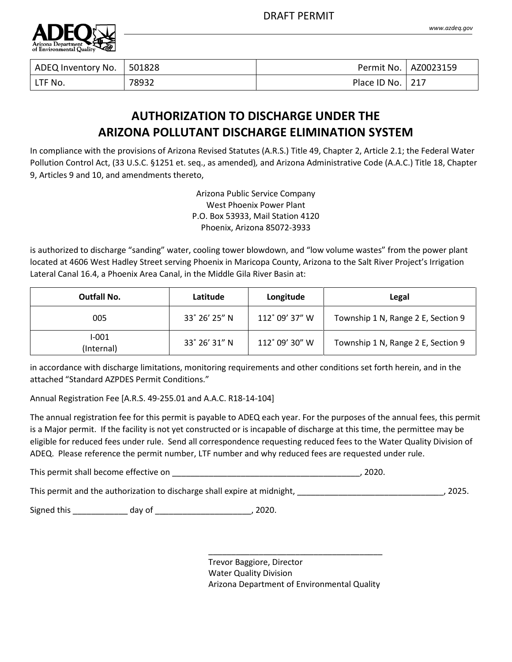

| ADEQ Inventory No. 501828 |       |                  | Permit No.   AZ0023159 |
|---------------------------|-------|------------------|------------------------|
| LTF No.                   | 78932 | Place ID No. 217 |                        |

# **AUTHORIZATION TO DISCHARGE UNDER THE ARIZONA POLLUTANT DISCHARGE ELIMINATION SYSTEM**

In compliance with the provisions of Arizona Revised Statutes (A.R.S.) Title 49, Chapter 2, Article 2.1; the Federal Water Pollution Control Act, (33 U.S.C. §1251 et. seq., as amended)*,* and Arizona Administrative Code (A.A.C.) Title 18, Chapter 9, Articles 9 and 10, and amendments thereto,

> Arizona Public Service Company West Phoenix Power Plant P.O. Box 53933, Mail Station 4120 Phoenix, Arizona 85072-3933

is authorized to discharge "sanding" water, cooling tower blowdown, and "low volume wastes" from the power plant located at 4606 West Hadley Street serving Phoenix in Maricopa County, Arizona to the Salt River Project's Irrigation Lateral Canal 16.4, a Phoenix Area Canal, in the Middle Gila River Basin at:

| <b>Outfall No.</b>      | Latitude      | Longitude      | Legal                              |
|-------------------------|---------------|----------------|------------------------------------|
| 005                     | 33° 26′ 25″ N | 112° 09' 37" W | Township 1 N, Range 2 E, Section 9 |
| $I - 001$<br>(Internal) | 33° 26' 31" N | 112° 09' 30" W | Township 1 N, Range 2 E, Section 9 |

in accordance with discharge limitations, monitoring requirements and other conditions set forth herein, and in the attached "Standard AZPDES Permit Conditions."

Annual Registration Fee [A.R.S. 49-255.01 and A.A.C. R18-14-104]

The annual registration fee for this permit is payable to ADEQ each year. For the purposes of the annual fees, this permit is a Major permit. If the facility is not yet constructed or is incapable of discharge at this time, the permittee may be eligible for reduced fees under rule. Send all correspondence requesting reduced fees to the Water Quality Division of ADEQ. Please reference the permit number, LTF number and why reduced fees are requested under rule.

This permit shall become effective on **we are all the computation** of  $(2020)$ .

This permit and the authorization to discharge shall expire at midnight, Landman and the authorization to discharge shall expire at midnight,

Signed this \_\_\_\_\_\_\_\_\_\_\_\_ day of \_\_\_\_\_\_\_\_\_\_\_\_\_\_\_\_\_\_\_\_\_, 2020.

Trevor Baggiore, Director Water Quality Division Arizona Department of Environmental Quality

\_\_\_\_\_\_\_\_\_\_\_\_\_\_\_\_\_\_\_\_\_\_\_\_\_\_\_\_\_\_\_\_\_\_\_\_\_\_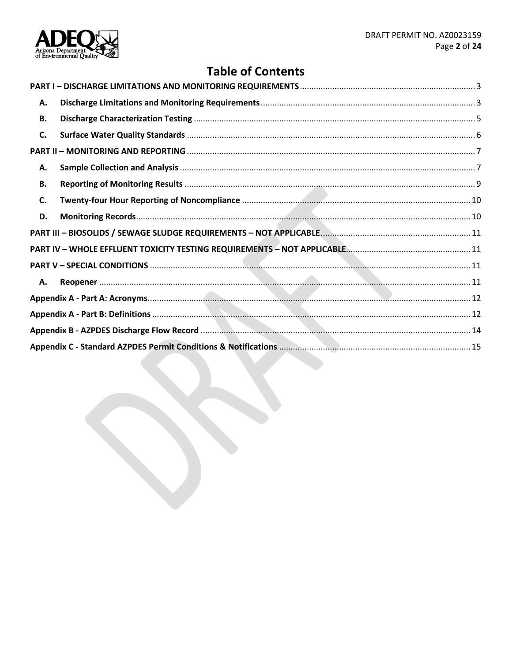

# **Table of Contents**

| А. |  |
|----|--|
| В. |  |
| C. |  |
|    |  |
| А. |  |
| В. |  |
| C. |  |
| D. |  |
|    |  |
|    |  |
|    |  |
| А. |  |
|    |  |
|    |  |
|    |  |
|    |  |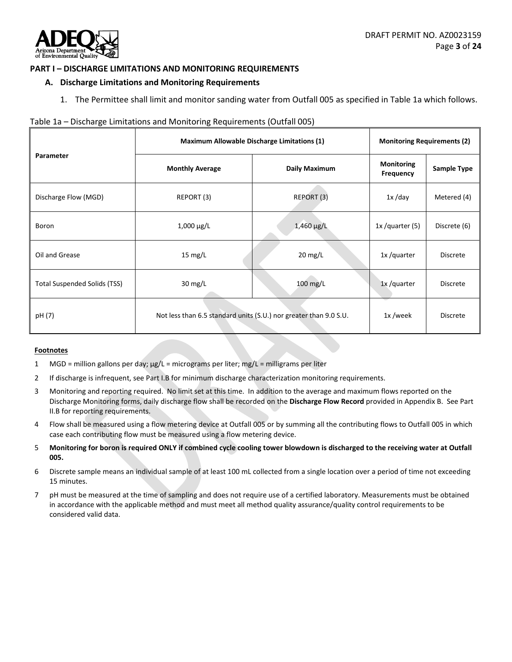

# <span id="page-2-1"></span><span id="page-2-0"></span>**PART I – DISCHARGE LIMITATIONS AND MONITORING REQUIREMENTS**

## **A. Discharge Limitations and Monitoring Requirements**

1. The Permittee shall limit and monitor sanding water from Outfall 005 as specified in Table 1a which follows.

### Table 1a – Discharge Limitations and Monitoring Requirements (Outfall 005)

|                              | <b>Maximum Allowable Discharge Limitations (1)</b>                | <b>Monitoring Requirements (2)</b> |                                |                 |
|------------------------------|-------------------------------------------------------------------|------------------------------------|--------------------------------|-----------------|
| Parameter                    | <b>Monthly Average</b><br>Daily Maximum                           |                                    | <b>Monitoring</b><br>Frequency | Sample Type     |
| Discharge Flow (MGD)         | REPORT (3)<br>REPORT (3)                                          |                                    | $1x$ /day                      | Metered (4)     |
| Boron                        | $1,000 \mu g/L$                                                   | $1,460 \mu g/L$                    | $1x$ /quarter (5)              | Discrete (6)    |
| Oil and Grease               | 15 mg/L                                                           | 20 mg/L                            | 1x/quarter                     | <b>Discrete</b> |
| Total Suspended Solids (TSS) | 30 mg/L                                                           | $100$ mg/L                         | $1x$ /quarter                  | Discrete        |
| pH (7)                       | Not less than 6.5 standard units (S.U.) nor greater than 9.0 S.U. |                                    | 1x/week                        | <b>Discrete</b> |

- 1 MGD = million gallons per day;  $\mu$ g/L = micrograms per liter; mg/L = milligrams per liter
- 2 If discharge is infrequent, see Part I.B for minimum discharge characterization monitoring requirements.
- 3 Monitoring and reporting required. No limit set at this time. In addition to the average and maximum flows reported on the Discharge Monitoring forms, daily discharge flow shall be recorded on the **Discharge Flow Record** provided in Appendix B. See Part II.B for reporting requirements.
- 4 Flow shall be measured using a flow metering device at Outfall 005 or by summing all the contributing flows to Outfall 005 in which case each contributing flow must be measured using a flow metering device.
- 5 **Monitoring for boron is required ONLY if combined cycle cooling tower blowdown is discharged to the receiving water at Outfall 005.**
- 6 Discrete sample means an individual sample of at least 100 mL collected from a single location over a period of time not exceeding 15 minutes.
- 7 pH must be measured at the time of sampling and does not require use of a certified laboratory. Measurements must be obtained in accordance with the applicable method and must meet all method quality assurance/quality control requirements to be considered valid data.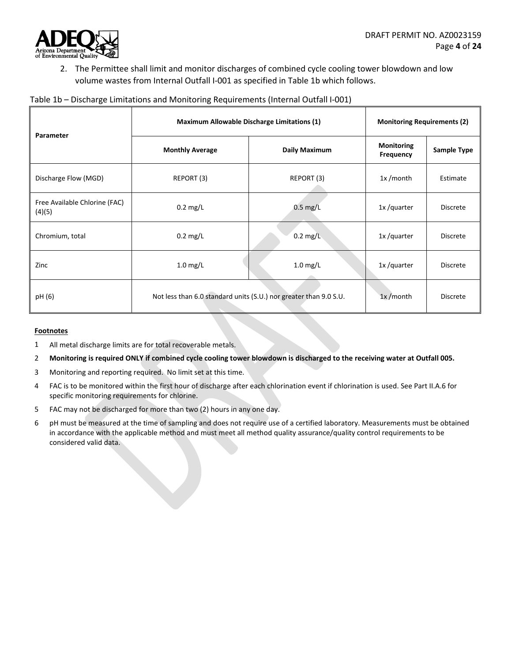

2. The Permittee shall limit and monitor discharges of combined cycle cooling tower blowdown and low volume wastes from Internal Outfall I-001 as specified in Table 1b which follows.

| Parameter                               | <b>Maximum Allowable Discharge Limitations (1)</b>                | <b>Monitoring Requirements (2)</b> |                                |                    |
|-----------------------------------------|-------------------------------------------------------------------|------------------------------------|--------------------------------|--------------------|
|                                         | <b>Monthly Average</b>                                            | Daily Maximum                      | <b>Monitoring</b><br>Frequency | <b>Sample Type</b> |
| Discharge Flow (MGD)                    | REPORT (3)                                                        | REPORT (3)                         | $1x$ /month                    | Estimate           |
| Free Available Chlorine (FAC)<br>(4)(5) | $0.2$ mg/L                                                        | $0.5$ mg/L                         | 1x/quarter                     | Discrete           |
| Chromium, total                         | $0.2$ mg/L                                                        | $0.2 \text{ mg/L}$                 | 1x/quarter                     | <b>Discrete</b>    |
| Zinc                                    | $1.0$ mg/L                                                        | $1.0$ mg/L                         | 1x/quarter                     | <b>Discrete</b>    |
| pH (6)                                  | Not less than 6.0 standard units (S.U.) nor greater than 9.0 S.U. |                                    | $1x$ /month                    | Discrete           |

#### Table 1b – Discharge Limitations and Monitoring Requirements (Internal Outfall I-001)

- 1 All metal discharge limits are for total recoverable metals.
- 2 **Monitoring is required ONLY if combined cycle cooling tower blowdown is discharged to the receiving water at Outfall 005.**
- 3 Monitoring and reporting required. No limit set at this time.
- 4 FAC is to be monitored within the first hour of discharge after each chlorination event if chlorination is used. See Part II.A.6 for specific monitoring requirements for chlorine.
- 5 FAC may not be discharged for more than two (2) hours in any one day.
- 6 pH must be measured at the time of sampling and does not require use of a certified laboratory. Measurements must be obtained in accordance with the applicable method and must meet all method quality assurance/quality control requirements to be considered valid data.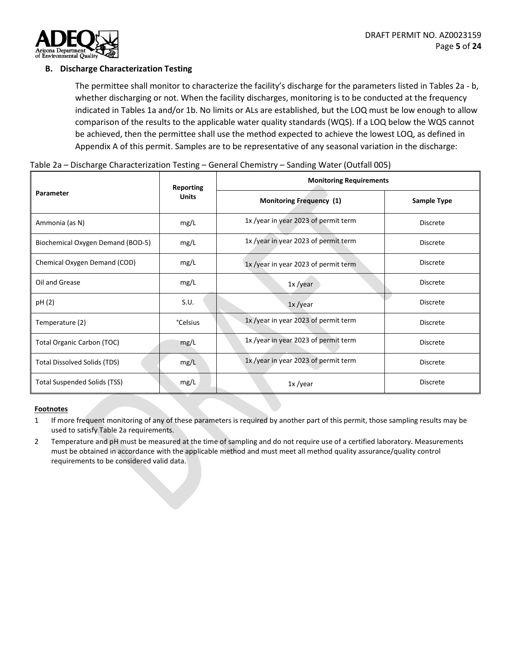# <span id="page-4-0"></span>**B. Discharge Characterization Testing**

The permittee shall monitor to characterize the facility's discharge for the parameters listed in Tables 2a - b, whether discharging or not. When the facility discharges, monitoring is to be conducted at the frequency indicated in Tables 1a and/or 1b. No limits or ALs are established, but the LOQ must be low enough to allow comparison of the results to the applicable water quality standards (WQS). If a LOQ below the WQS cannot be achieved, then the permittee shall use the method expected to achieve the lowest LOQ, as defined in Appendix A of this permit. Samples are to be representative of any seasonal variation in the discharge:

|                                     | <b>Reporting</b> | <b>Monitoring Requirements</b>       |                 |  |
|-------------------------------------|------------------|--------------------------------------|-----------------|--|
| Parameter                           | <b>Units</b>     | <b>Monitoring Frequency (1)</b>      | Sample Type     |  |
| Ammonia (as N)                      | mg/L             | 1x /year in year 2023 of permit term | <b>Discrete</b> |  |
| Biochemical Oxygen Demand (BOD-5)   | mg/L             | 1x/year in year 2023 of permit term  | <b>Discrete</b> |  |
| Chemical Oxygen Demand (COD)        | mg/L             | 1x /year in year 2023 of permit term | <b>Discrete</b> |  |
| Oil and Grease                      | mg/L             | $1x$ /year                           | <b>Discrete</b> |  |
| pH (2)                              | S.U.             | $1x$ /year                           | <b>Discrete</b> |  |
| Temperature (2)                     | <b>Celsius</b>   | 1x/year in year 2023 of permit term  | <b>Discrete</b> |  |
| <b>Total Organic Carbon (TOC)</b>   | mg/L             | 1x/year in year 2023 of permit term  | <b>Discrete</b> |  |
| <b>Total Dissolved Solids (TDS)</b> | mg/L             | 1x /year in year 2023 of permit term | Discrete        |  |
| Total Suspended Solids (TSS)        | mg/L             | $1x$ /year                           | <b>Discrete</b> |  |

| Table 2a - Discharge Characterization Testing - General Chemistry - Sanding Water (Outfall 005) |  |  |  |
|-------------------------------------------------------------------------------------------------|--|--|--|
|                                                                                                 |  |  |  |

- 1 If more frequent monitoring of any of these parameters is required by another part of this permit, those sampling results may be used to satisfy Table 2a requirements.
- 2 Temperature and pH must be measured at the time of sampling and do not require use of a certified laboratory. Measurements must be obtained in accordance with the applicable method and must meet all method quality assurance/quality control requirements to be considered valid data.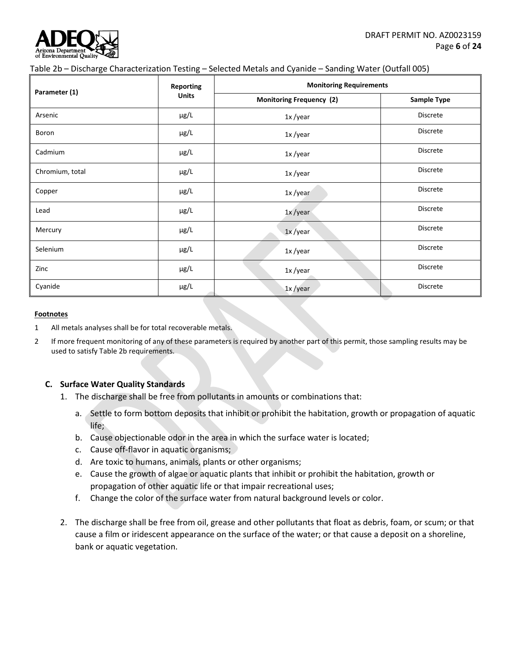

Table 2b – Discharge Characterization Testing – Selected Metals and Cyanide – Sanding Water (Outfall 005)

| Parameter (1)   | <b>Reporting</b> | <b>Monitoring Requirements</b>  |             |  |
|-----------------|------------------|---------------------------------|-------------|--|
|                 | <b>Units</b>     | <b>Monitoring Frequency (2)</b> | Sample Type |  |
| Arsenic         | µg/L             | $1x$ /year                      | Discrete    |  |
| Boron           | $\mu$ g/L        | $1x$ /year                      | Discrete    |  |
| Cadmium         | $\mu$ g/L        | $1x$ /year                      | Discrete    |  |
| Chromium, total | µg/L             | $1x$ /year                      | Discrete    |  |
| Copper          | µg/L             | $1x$ /year                      | Discrete    |  |
| Lead            | µg/L             | $1x$ /year                      | Discrete    |  |
| Mercury         | µg/L             | $1x$ /year                      | Discrete    |  |
| Selenium        | $\mu$ g/L        | $1x$ /year                      | Discrete    |  |
| Zinc            | µg/L             | $1x$ /year                      | Discrete    |  |
| Cyanide         | µg/L             | $1x$ /year                      | Discrete    |  |

#### **Footnotes**

- 1 All metals analyses shall be for total recoverable metals.
- 2 If more frequent monitoring of any of these parameters is required by another part of this permit, those sampling results may be used to satisfy Table 2b requirements.

## <span id="page-5-0"></span>**C. Surface Water Quality Standards**

- 1. The discharge shall be free from pollutants in amounts or combinations that:
	- a. Settle to form bottom deposits that inhibit or prohibit the habitation, growth or propagation of aquatic life;
	- b. Cause objectionable odor in the area in which the surface water is located;
	- c. Cause off-flavor in aquatic organisms;
	- d. Are toxic to humans, animals, plants or other organisms;
	- e. Cause the growth of algae or aquatic plants that inhibit or prohibit the habitation, growth or propagation of other aquatic life or that impair recreational uses;
	- f. Change the color of the surface water from natural background levels or color.
- 2. The discharge shall be free from oil, grease and other pollutants that float as debris, foam, or scum; or that cause a film or iridescent appearance on the surface of the water; or that cause a deposit on a shoreline, bank or aquatic vegetation.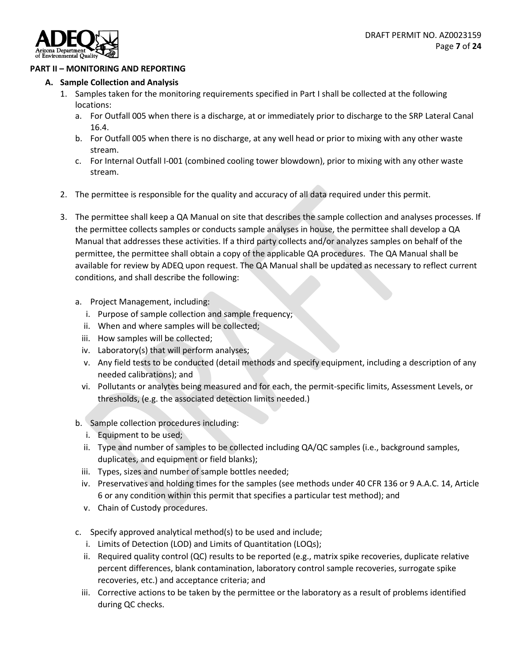

## <span id="page-6-1"></span><span id="page-6-0"></span>**PART II – MONITORING AND REPORTING**

## **A. Sample Collection and Analysis**

- 1. Samples taken for the monitoring requirements specified in Part I shall be collected at the following locations:
	- a. For Outfall 005 when there is a discharge, at or immediately prior to discharge to the SRP Lateral Canal 16.4.
	- b. For Outfall 005 when there is no discharge, at any well head or prior to mixing with any other waste stream.
	- c. For Internal Outfall I-001 (combined cooling tower blowdown), prior to mixing with any other waste stream.
- 2. The permittee is responsible for the quality and accuracy of all data required under this permit.
- 3. The permittee shall keep a QA Manual on site that describes the sample collection and analyses processes. If the permittee collects samples or conducts sample analyses in house, the permittee shall develop a QA Manual that addresses these activities. If a third party collects and/or analyzes samples on behalf of the permittee, the permittee shall obtain a copy of the applicable QA procedures. The QA Manual shall be available for review by ADEQ upon request. The QA Manual shall be updated as necessary to reflect current conditions, and shall describe the following:
	- a. Project Management, including:
		- i. Purpose of sample collection and sample frequency;
		- ii. When and where samples will be collected;
		- iii. How samples will be collected;
		- iv. Laboratory(s) that will perform analyses;
		- v. Any field tests to be conducted (detail methods and specify equipment, including a description of any needed calibrations); and
		- vi. Pollutants or analytes being measured and for each, the permit-specific limits, Assessment Levels, or thresholds, (e.g. the associated detection limits needed.)
	- b. Sample collection procedures including:
		- i. Equipment to be used;
		- ii. Type and number of samples to be collected including QA/QC samples (i.e., background samples, duplicates, and equipment or field blanks);
		- iii. Types, sizes and number of sample bottles needed;
		- iv. Preservatives and holding times for the samples (see methods under 40 CFR 136 or 9 A.A.C. 14, Article 6 or any condition within this permit that specifies a particular test method); and
		- v. Chain of Custody procedures.
	- c. Specify approved analytical method(s) to be used and include;
		- i. Limits of Detection (LOD) and Limits of Quantitation (LOQs);
		- ii. Required quality control (QC) results to be reported (e.g., matrix spike recoveries, duplicate relative percent differences, blank contamination, laboratory control sample recoveries, surrogate spike recoveries, etc.) and acceptance criteria; and
		- iii. Corrective actions to be taken by the permittee or the laboratory as a result of problems identified during QC checks.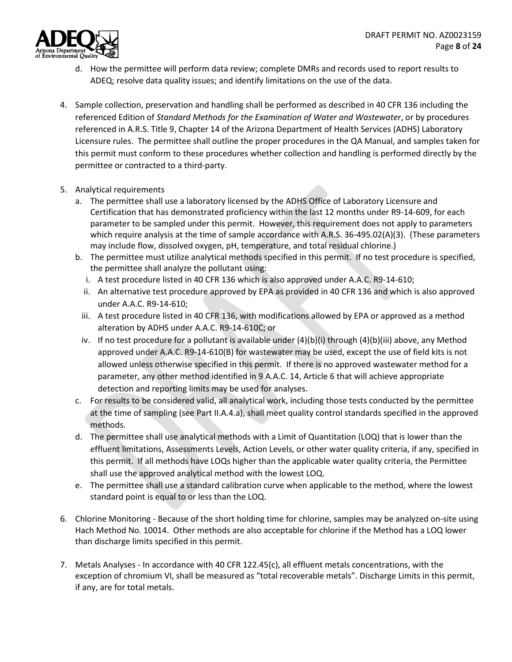

- d. How the permittee will perform data review; complete DMRs and records used to report results to ADEQ; resolve data quality issues; and identify limitations on the use of the data.
- 4. Sample collection, preservation and handling shall be performed as described in 40 CFR 136 including the referenced Edition of *Standard Methods for the Examination of Water and Wastewater*, or by procedures referenced in A.R.S. Title 9, Chapter 14 of the Arizona Department of Health Services (ADHS) Laboratory Licensure rules. The permittee shall outline the proper procedures in the QA Manual, and samples taken for this permit must conform to these procedures whether collection and handling is performed directly by the permittee or contracted to a third-party.
- 5. Analytical requirements
	- a. The permittee shall use a laboratory licensed by the ADHS Office of Laboratory Licensure and Certification that has demonstrated proficiency within the last 12 months under R9-14-609, for each parameter to be sampled under this permit. However, this requirement does not apply to parameters which require analysis at the time of sample accordance with A.R.S. 36-495.02(A)(3). (These parameters may include flow, dissolved oxygen, pH, temperature, and total residual chlorine.)
	- b. The permittee must utilize analytical methods specified in this permit. If no test procedure is specified, the permittee shall analyze the pollutant using:
		- i. A test procedure listed in 40 CFR 136 which is also approved under A.A.C. R9-14-610;
		- ii. An alternative test procedure approved by EPA as provided in 40 CFR 136 and which is also approved under A.A.C. R9-14-610;
		- iii. A test procedure listed in 40 CFR 136, with modifications allowed by EPA or approved as a method alteration by ADHS under A.A.C. R9-14-610C; or
		- iv. If no test procedure for a pollutant is available under (4)(b)(i) through (4)(b)(iii) above, any Method approved under A.A.C. R9-14-610(B) for wastewater may be used, except the use of field kits is not allowed unless otherwise specified in this permit. If there is no approved wastewater method for a parameter, any other method identified in 9 A.A.C. 14, Article 6 that will achieve appropriate detection and reporting limits may be used for analyses.
	- c. For results to be considered valid, all analytical work, including those tests conducted by the permittee at the time of sampling (see Part II.A.4.a), shall meet quality control standards specified in the approved methods.
	- d. The permittee shall use analytical methods with a Limit of Quantitation (LOQ) that is lower than the effluent limitations, Assessments Levels, Action Levels, or other water quality criteria, if any, specified in this permit. If all methods have LOQs higher than the applicable water quality criteria, the Permittee shall use the approved analytical method with the lowest LOQ.
	- e. The permittee shall use a standard calibration curve when applicable to the method, where the lowest standard point is equal to or less than the LOQ.
- 6. Chlorine Monitoring Because of the short holding time for chlorine, samples may be analyzed on-site using Hach Method No. 10014. Other methods are also acceptable for chlorine if the Method has a LOQ lower than discharge limits specified in this permit.
- 7. Metals Analyses In accordance with 40 CFR 122.45(c), all effluent metals concentrations, with the exception of chromium VI, shall be measured as "total recoverable metals". Discharge Limits in this permit, if any, are for total metals.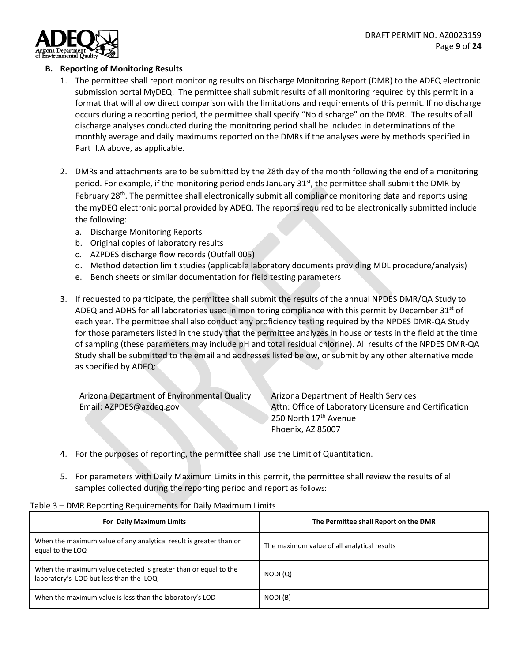

## <span id="page-8-0"></span>**B. Reporting of Monitoring Results**

- 1. The permittee shall report monitoring results on Discharge Monitoring Report (DMR) to the ADEQ electronic submission portal MyDEQ. The permittee shall submit results of all monitoring required by this permit in a format that will allow direct comparison with the limitations and requirements of this permit. If no discharge occurs during a reporting period, the permittee shall specify "No discharge" on the DMR. The results of all discharge analyses conducted during the monitoring period shall be included in determinations of the monthly average and daily maximums reported on the DMRs if the analyses were by methods specified in Part II.A above, as applicable.
- 2. DMRs and attachments are to be submitted by the 28th day of the month following the end of a monitoring period. For example, if the monitoring period ends January 31<sup>st</sup>, the permittee shall submit the DMR by February 28<sup>th</sup>. The permittee shall electronically submit all compliance monitoring data and reports using the myDEQ electronic portal provided by ADEQ. The reports required to be electronically submitted include the following:
	- a. Discharge Monitoring Reports
	- b. Original copies of laboratory results
	- c. AZPDES discharge flow records (Outfall 005)
	- d. Method detection limit studies (applicable laboratory documents providing MDL procedure/analysis)
	- e. Bench sheets or similar documentation for field testing parameters
- 3. If requested to participate, the permittee shall submit the results of the annual NPDES DMR/QA Study to ADEQ and ADHS for all laboratories used in monitoring compliance with this permit by December  $31<sup>st</sup>$  of each year. The permittee shall also conduct any proficiency testing required by the NPDES DMR-QA Study for those parameters listed in the study that the permittee analyzes in house or tests in the field at the time of sampling (these parameters may include pH and total residual chlorine). All results of the NPDES DMR-QA Study shall be submitted to the email and addresses listed below, or submit by any other alternative mode as specified by ADEQ:

Arizona Department of Environmental Quality Email: AZPDES@azdeq.gov

Arizona Department of Health Services Attn: Office of Laboratory Licensure and Certification 250 North 17th Avenue Phoenix, AZ 85007

- 4. For the purposes of reporting, the permittee shall use the Limit of Quantitation.
- 5. For parameters with Daily Maximum Limits in this permit, the permittee shall review the results of all samples collected during the reporting period and report as follows:

| Table 3 - DMR Reporting Requirements for Daily Maximum Limits |  |  |  |  |  |  |
|---------------------------------------------------------------|--|--|--|--|--|--|
|---------------------------------------------------------------|--|--|--|--|--|--|

| For Daily Maximum Limits                                                                                  | The Permittee shall Report on the DMR       |
|-----------------------------------------------------------------------------------------------------------|---------------------------------------------|
| When the maximum value of any analytical result is greater than or<br>equal to the LOQ                    | The maximum value of all analytical results |
| When the maximum value detected is greater than or equal to the<br>laboratory's LOD but less than the LOQ | NODI(Q)                                     |
| When the maximum value is less than the laboratory's LOD                                                  | NODI (B)                                    |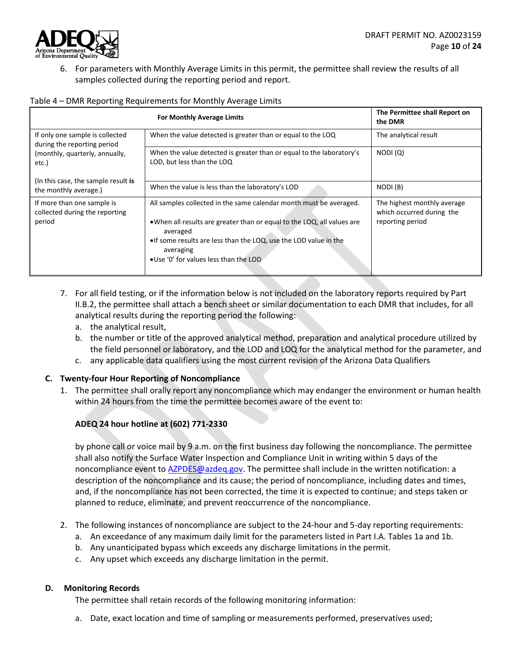

6. For parameters with Monthly Average Limits in this permit, the permittee shall review the results of all samples collected during the reporting period and report.

#### Table 4 – DMR Reporting Requirements for Monthly Average Limits

|                                                                        | The Permittee shall Report on<br>the DMR                                                                                                                                                                                                                                              |                                                                              |
|------------------------------------------------------------------------|---------------------------------------------------------------------------------------------------------------------------------------------------------------------------------------------------------------------------------------------------------------------------------------|------------------------------------------------------------------------------|
| If only one sample is collected<br>during the reporting period         | When the value detected is greater than or equal to the LOQ                                                                                                                                                                                                                           | The analytical result                                                        |
| (monthly, quarterly, annually,<br>etc.)                                | When the value detected is greater than or equal to the laboratory's<br>LOD, but less than the LOQ                                                                                                                                                                                    | NODI(Q)                                                                      |
| (In this case, the sample result is<br>the monthly average.)           | When the value is less than the laboratory's LOD                                                                                                                                                                                                                                      | NODI(B)                                                                      |
| If more than one sample is<br>collected during the reporting<br>period | All samples collected in the same calendar month must be averaged.<br>• When all results are greater than or equal to the LOQ, all values are<br>averaged<br>. If some results are less than the LOQ, use the LOD value in the<br>averaging<br>• Use '0' for values less than the LOD | The highest monthly average<br>which occurred during the<br>reporting period |
|                                                                        |                                                                                                                                                                                                                                                                                       |                                                                              |

- 7. For all field testing, or if the information below is not included on the laboratory reports required by Part II.B.2, the permittee shall attach a bench sheet or similar documentation to each DMR that includes, for all analytical results during the reporting period the following:
	- a. the analytical result,
	- b. the number or title of the approved analytical method, preparation and analytical procedure utilized by the field personnel or laboratory, and the LOD and LOQ for the analytical method for the parameter, and
	- c. any applicable data qualifiers using the most current revision of the Arizona Data Qualifiers

## <span id="page-9-0"></span>**C. Twenty-four Hour Reporting of Noncompliance**

1. The permittee shall orally report any noncompliance which may endanger the environment or human health within 24 hours from the time the permittee becomes aware of the event to:

# **ADEQ 24 hour hotline at (602) 771-2330**

by phone call or voice mail by 9 a.m. on the first business day following the noncompliance. The permittee shall also notify the Surface Water Inspection and Compliance Unit in writing within 5 days of the noncompliance event to [AZPDES@azdeq.gov.](mailto:AZPDES@azdeq.gov) The permittee shall include in the written notification: a description of the noncompliance and its cause; the period of noncompliance, including dates and times, and, if the noncompliance has not been corrected, the time it is expected to continue; and steps taken or planned to reduce, eliminate, and prevent reoccurrence of the noncompliance.

- 2. The following instances of noncompliance are subject to the 24-hour and 5-day reporting requirements:
	- a. An exceedance of any maximum daily limit for the parameters listed in Part I.A. Tables 1a and 1b.
	- b. Any unanticipated bypass which exceeds any discharge limitations in the permit.
	- c. Any upset which exceeds any discharge limitation in the permit.

#### <span id="page-9-1"></span>**D. Monitoring Records**

The permittee shall retain records of the following monitoring information:

a. Date, exact location and time of sampling or measurements performed, preservatives used;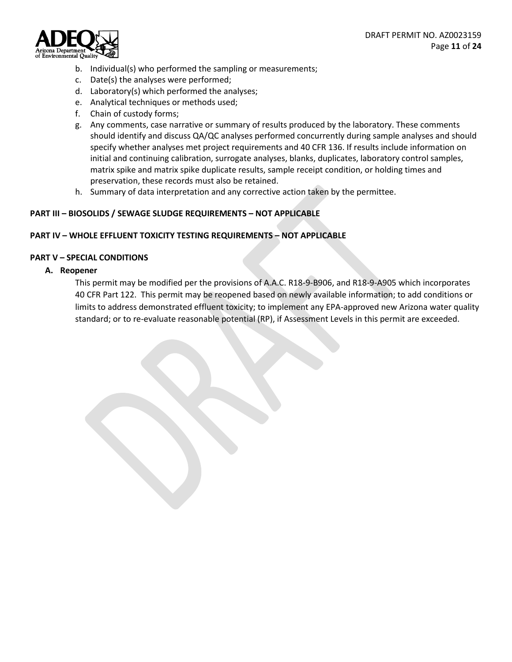

- b. Individual(s) who performed the sampling or measurements;
- c. Date(s) the analyses were performed;
- d. Laboratory(s) which performed the analyses;
- e. Analytical techniques or methods used;
- f. Chain of custody forms;
- g. Any comments, case narrative or summary of results produced by the laboratory. These comments should identify and discuss QA/QC analyses performed concurrently during sample analyses and should specify whether analyses met project requirements and 40 CFR 136. If results include information on initial and continuing calibration, surrogate analyses, blanks, duplicates, laboratory control samples, matrix spike and matrix spike duplicate results, sample receipt condition, or holding times and preservation, these records must also be retained.
- h. Summary of data interpretation and any corrective action taken by the permittee.

## <span id="page-10-1"></span><span id="page-10-0"></span>**PART III – BIOSOLIDS / SEWAGE SLUDGE REQUIREMENTS – NOT APPLICABLE**

## <span id="page-10-2"></span>**PART IV – WHOLE EFFLUENT TOXICITY TESTING REQUIREMENTS – NOT APPLICABLE**

### <span id="page-10-3"></span>**PART V – SPECIAL CONDITIONS**

## **A. Reopener**

This permit may be modified per the provisions of A.A.C. R18-9-B906, and R18-9-A905 which incorporates 40 CFR Part 122. This permit may be reopened based on newly available information; to add conditions or limits to address demonstrated effluent toxicity; to implement any EPA-approved new Arizona water quality standard; or to re-evaluate reasonable potential (RP), if Assessment Levels in this permit are exceeded.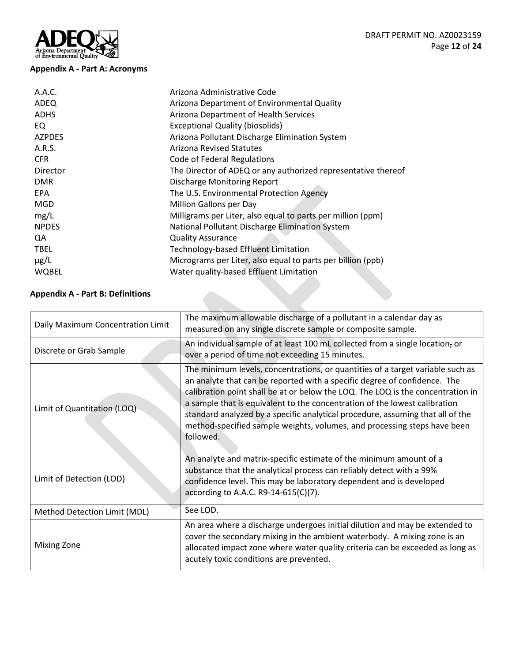

# <span id="page-11-0"></span>**Appendix A - Part A: Acronyms**

| A.A.C.        | Arizona Administrative Code                                   |
|---------------|---------------------------------------------------------------|
| ADEQ          | Arizona Department of Environmental Quality                   |
| <b>ADHS</b>   | Arizona Department of Health Services                         |
| EQ            | <b>Exceptional Quality (biosolids)</b>                        |
| <b>AZPDES</b> | Arizona Pollutant Discharge Elimination System                |
| A.R.S.        | Arizona Revised Statutes                                      |
| <b>CFR</b>    | Code of Federal Regulations                                   |
| Director      | The Director of ADEQ or any authorized representative thereof |
| <b>DMR</b>    | <b>Discharge Monitoring Report</b>                            |
| EPA           | The U.S. Environmental Protection Agency                      |
| <b>MGD</b>    | Million Gallons per Day                                       |
| mg/L          | Milligrams per Liter, also equal to parts per million (ppm)   |
| <b>NPDES</b>  | National Pollutant Discharge Elimination System               |
| QA            | <b>Quality Assurance</b>                                      |
| <b>TBEL</b>   | Technology-based Effluent Limitation                          |
| $\mu$ g/L     | Micrograms per Liter, also equal to parts per billion (ppb)   |
| <b>WQBEL</b>  | Water quality-based Effluent Limitation                       |
|               |                                                               |

# <span id="page-11-1"></span>**Appendix A - Part B: Definitions**

| Daily Maximum Concentration Limit                                                                                                                                                                                                                                                                         | The maximum allowable discharge of a pollutant in a calendar day as<br>measured on any single discrete sample or composite sample.                                                                                                                                                                                                                                                                                                                                                                      |  |
|-----------------------------------------------------------------------------------------------------------------------------------------------------------------------------------------------------------------------------------------------------------------------------------------------------------|---------------------------------------------------------------------------------------------------------------------------------------------------------------------------------------------------------------------------------------------------------------------------------------------------------------------------------------------------------------------------------------------------------------------------------------------------------------------------------------------------------|--|
| Discrete or Grab Sample                                                                                                                                                                                                                                                                                   | An individual sample of at least 100 mL collected from a single location, or<br>over a period of time not exceeding 15 minutes.                                                                                                                                                                                                                                                                                                                                                                         |  |
| Limit of Quantitation (LOQ)                                                                                                                                                                                                                                                                               | The minimum levels, concentrations, or quantities of a target variable such as<br>an analyte that can be reported with a specific degree of confidence. The<br>calibration point shall be at or below the LOQ. The LOQ is the concentration in<br>a sample that is equivalent to the concentration of the lowest calibration<br>standard analyzed by a specific analytical procedure, assuming that all of the<br>method-specified sample weights, volumes, and processing steps have been<br>followed. |  |
| Limit of Detection (LOD)                                                                                                                                                                                                                                                                                  | An analyte and matrix-specific estimate of the minimum amount of a<br>substance that the analytical process can reliably detect with a 99%<br>confidence level. This may be laboratory dependent and is developed<br>according to A.A.C. R9-14-615(C)(7).                                                                                                                                                                                                                                               |  |
| Method Detection Limit (MDL)                                                                                                                                                                                                                                                                              | See LOD.                                                                                                                                                                                                                                                                                                                                                                                                                                                                                                |  |
| An area where a discharge undergoes initial dilution and may be extended to<br>cover the secondary mixing in the ambient waterbody. A mixing zone is an<br><b>Mixing Zone</b><br>allocated impact zone where water quality criteria can be exceeded as long as<br>acutely toxic conditions are prevented. |                                                                                                                                                                                                                                                                                                                                                                                                                                                                                                         |  |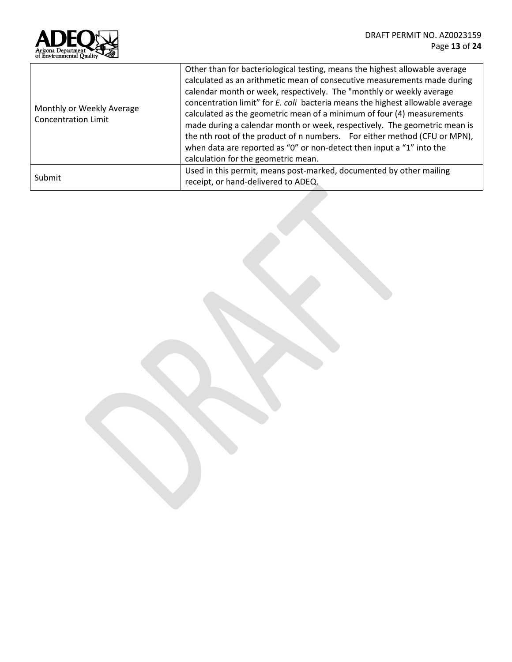

| Monthly or Weekly Average<br><b>Concentration Limit</b> | Other than for bacteriological testing, means the highest allowable average<br>calculated as an arithmetic mean of consecutive measurements made during<br>calendar month or week, respectively. The "monthly or weekly average<br>concentration limit" for E. coli bacteria means the highest allowable average<br>calculated as the geometric mean of a minimum of four (4) measurements<br>made during a calendar month or week, respectively. The geometric mean is<br>the nth root of the product of n numbers. For either method (CFU or MPN),<br>when data are reported as "0" or non-detect then input a "1" into the<br>calculation for the geometric mean. |  |
|---------------------------------------------------------|----------------------------------------------------------------------------------------------------------------------------------------------------------------------------------------------------------------------------------------------------------------------------------------------------------------------------------------------------------------------------------------------------------------------------------------------------------------------------------------------------------------------------------------------------------------------------------------------------------------------------------------------------------------------|--|
| Submit                                                  | Used in this permit, means post-marked, documented by other mailing<br>receipt, or hand-delivered to ADEQ.                                                                                                                                                                                                                                                                                                                                                                                                                                                                                                                                                           |  |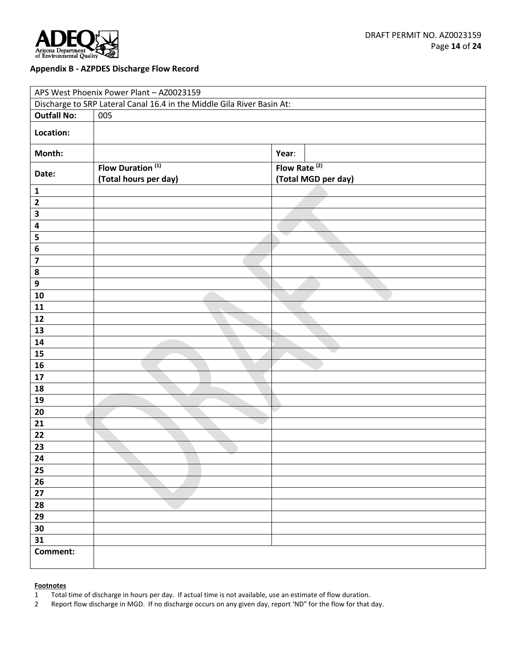

## <span id="page-13-0"></span>**Appendix B - AZPDES Discharge Flow Record**

|                                                                        | APS West Phoenix Power Plant - AZ0023159              |                                                 |  |
|------------------------------------------------------------------------|-------------------------------------------------------|-------------------------------------------------|--|
| Discharge to SRP Lateral Canal 16.4 in the Middle Gila River Basin At: |                                                       |                                                 |  |
| <b>Outfall No:</b>                                                     | 005                                                   |                                                 |  |
| Location:                                                              |                                                       |                                                 |  |
| Month:                                                                 |                                                       | Year:                                           |  |
| Date:                                                                  | Flow Duration <sup>(1)</sup><br>(Total hours per day) | Flow Rate <sup>(2)</sup><br>(Total MGD per day) |  |
| $\mathbf 1$                                                            |                                                       |                                                 |  |
| $\mathbf{2}$                                                           |                                                       |                                                 |  |
| $\overline{\mathbf{3}}$                                                |                                                       |                                                 |  |
| $\overline{\mathbf{4}}$                                                |                                                       |                                                 |  |
| 5                                                                      |                                                       | o a                                             |  |
| $\bf 6$                                                                |                                                       |                                                 |  |
| $\overline{\mathbf{z}}$                                                |                                                       |                                                 |  |
| ${\bf 8}$                                                              |                                                       |                                                 |  |
| 9                                                                      |                                                       |                                                 |  |
| 10                                                                     |                                                       |                                                 |  |
| 11                                                                     |                                                       |                                                 |  |
| 12                                                                     |                                                       |                                                 |  |
| 13                                                                     |                                                       |                                                 |  |
| ${\bf 14}$                                                             |                                                       |                                                 |  |
| 15                                                                     |                                                       |                                                 |  |
| 16                                                                     |                                                       |                                                 |  |
| $\overline{\mathbf{17}}$                                               |                                                       |                                                 |  |
| 18                                                                     |                                                       |                                                 |  |
| 19                                                                     |                                                       |                                                 |  |
| 20                                                                     |                                                       |                                                 |  |
| 21                                                                     |                                                       |                                                 |  |
| 22                                                                     |                                                       |                                                 |  |
| 23<br>24                                                               |                                                       |                                                 |  |
| 25                                                                     |                                                       |                                                 |  |
| 26                                                                     |                                                       |                                                 |  |
| $27$                                                                   |                                                       |                                                 |  |
| 28                                                                     |                                                       |                                                 |  |
| 29                                                                     |                                                       |                                                 |  |
| 30                                                                     |                                                       |                                                 |  |
| 31                                                                     |                                                       |                                                 |  |
| Comment:                                                               |                                                       |                                                 |  |

- 1 Total time of discharge in hours per day. If actual time is not available, use an estimate of flow duration.<br>2 Report flow discharge in MGD. If no discharge occurs on any given day, report 'ND'' for the flow for that
- Report flow discharge in MGD. If no discharge occurs on any given day, report 'ND" for the flow for that day.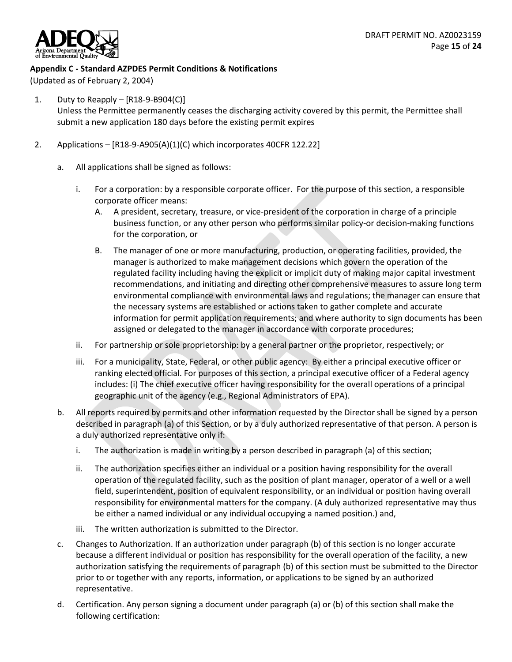

# <span id="page-14-0"></span>**Appendix C - Standard AZPDES Permit Conditions & Notifications**

(Updated as of February 2, 2004)

- 1. Duty to Reapply [R18-9-B904(C)] Unless the Permittee permanently ceases the discharging activity covered by this permit, the Permittee shall submit a new application 180 days before the existing permit expires
- 2. Applications [R18-9-A905(A)(1)(C) which incorporates 40CFR 122.22]
	- a. All applications shall be signed as follows:
		- i. For a corporation: by a responsible corporate officer. For the purpose of this section, a responsible corporate officer means:
			- A. A president, secretary, treasure, or vice-president of the corporation in charge of a principle business function, or any other person who performs similar policy-or decision-making functions for the corporation, or
			- B. The manager of one or more manufacturing, production, or operating facilities, provided, the manager is authorized to make management decisions which govern the operation of the regulated facility including having the explicit or implicit duty of making major capital investment recommendations, and initiating and directing other comprehensive measures to assure long term environmental compliance with environmental laws and regulations; the manager can ensure that the necessary systems are established or actions taken to gather complete and accurate information for permit application requirements; and where authority to sign documents has been assigned or delegated to the manager in accordance with corporate procedures;
		- ii. For partnership or sole proprietorship: by a general partner or the proprietor, respectively; or
		- iii. For a municipality, State, Federal, or other public agency: By either a principal executive officer or ranking elected official. For purposes of this section, a principal executive officer of a Federal agency includes: (i) The chief executive officer having responsibility for the overall operations of a principal geographic unit of the agency (e.g., Regional Administrators of EPA).
	- b. All reports required by permits and other information requested by the Director shall be signed by a person described in paragraph (a) of this Section, or by a duly authorized representative of that person. A person is a duly authorized representative only if:
		- i. The authorization is made in writing by a person described in paragraph (a) of this section;
		- ii. The authorization specifies either an individual or a position having responsibility for the overall operation of the regulated facility, such as the position of plant manager, operator of a well or a well field, superintendent, position of equivalent responsibility, or an individual or position having overall responsibility for environmental matters for the company. (A duly authorized representative may thus be either a named individual or any individual occupying a named position.) and,
		- iii. The written authorization is submitted to the Director.
	- c. Changes to Authorization. If an authorization under paragraph (b) of this section is no longer accurate because a different individual or position has responsibility for the overall operation of the facility, a new authorization satisfying the requirements of paragraph (b) of this section must be submitted to the Director prior to or together with any reports, information, or applications to be signed by an authorized representative.
	- d. Certification. Any person signing a document under paragraph (a) or (b) of this section shall make the following certification: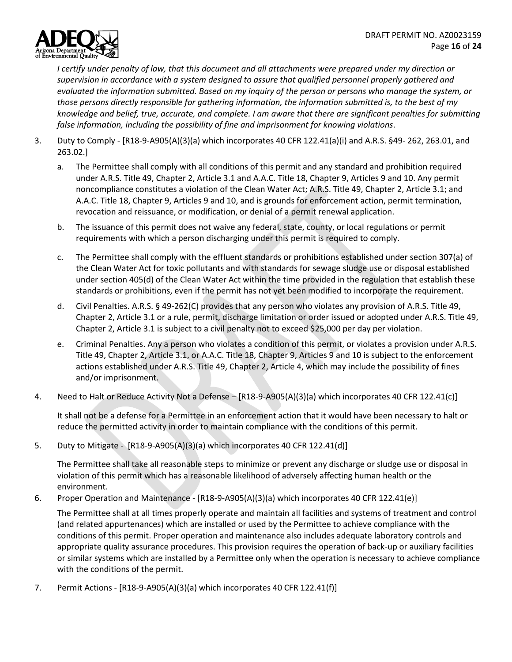

*I certify under penalty of law, that this document and all attachments were prepared under my direction or supervision in accordance with a system designed to assure that qualified personnel properly gathered and evaluated the information submitted. Based on my inquiry of the person or persons who manage the system, or those persons directly responsible for gathering information, the information submitted is, to the best of my knowledge and belief, true, accurate, and complete. I am aware that there are significant penalties for submitting false information, including the possibility of fine and imprisonment for knowing violations*.

- 3. Duty to Comply [R18-9-A905(A)(3)(a) which incorporates 40 CFR 122.41(a)(i) and A.R.S. §49- 262, 263.01, and 263.02.]
	- a. The Permittee shall comply with all conditions of this permit and any standard and prohibition required under A.R.S. Title 49, Chapter 2, Article 3.1 and A.A.C. Title 18, Chapter 9, Articles 9 and 10. Any permit noncompliance constitutes a violation of the Clean Water Act; A.R.S. Title 49, Chapter 2, Article 3.1; and A.A.C. Title 18, Chapter 9, Articles 9 and 10, and is grounds for enforcement action, permit termination, revocation and reissuance, or modification, or denial of a permit renewal application.
	- b. The issuance of this permit does not waive any federal, state, county, or local regulations or permit requirements with which a person discharging under this permit is required to comply.
	- c. The Permittee shall comply with the effluent standards or prohibitions established under section 307(a) of the Clean Water Act for toxic pollutants and with standards for sewage sludge use or disposal established under section 405(d) of the Clean Water Act within the time provided in the regulation that establish these standards or prohibitions, even if the permit has not yet been modified to incorporate the requirement.
	- d. Civil Penalties. A.R.S. § 49-262(C) provides that any person who violates any provision of A.R.S. Title 49, Chapter 2, Article 3.1 or a rule, permit, discharge limitation or order issued or adopted under A.R.S. Title 49, Chapter 2, Article 3.1 is subject to a civil penalty not to exceed \$25,000 per day per violation.
	- e. Criminal Penalties. Any a person who violates a condition of this permit, or violates a provision under A.R.S. Title 49, Chapter 2, Article 3.1, or A.A.C. Title 18, Chapter 9, Articles 9 and 10 is subject to the enforcement actions established under A.R.S. Title 49, Chapter 2, Article 4, which may include the possibility of fines and/or imprisonment.
- 4. Need to Halt or Reduce Activity Not a Defense [R18-9-A905(A)(3)(a) which incorporates 40 CFR 122.41(c)]

It shall not be a defense for a Permittee in an enforcement action that it would have been necessary to halt or reduce the permitted activity in order to maintain compliance with the conditions of this permit.

5. Duty to Mitigate - [R18-9-A905(A)(3)(a) which incorporates 40 CFR 122.41(d)]

The Permittee shall take all reasonable steps to minimize or prevent any discharge or sludge use or disposal in violation of this permit which has a reasonable likelihood of adversely affecting human health or the environment.

6. Proper Operation and Maintenance - [R18-9-A905(A)(3)(a) which incorporates 40 CFR 122.41(e)]

The Permittee shall at all times properly operate and maintain all facilities and systems of treatment and control (and related appurtenances) which are installed or used by the Permittee to achieve compliance with the conditions of this permit. Proper operation and maintenance also includes adequate laboratory controls and appropriate quality assurance procedures. This provision requires the operation of back-up or auxiliary facilities or similar systems which are installed by a Permittee only when the operation is necessary to achieve compliance with the conditions of the permit.

7. Permit Actions - [R18-9-A905(A)(3)(a) which incorporates 40 CFR 122.41(f)]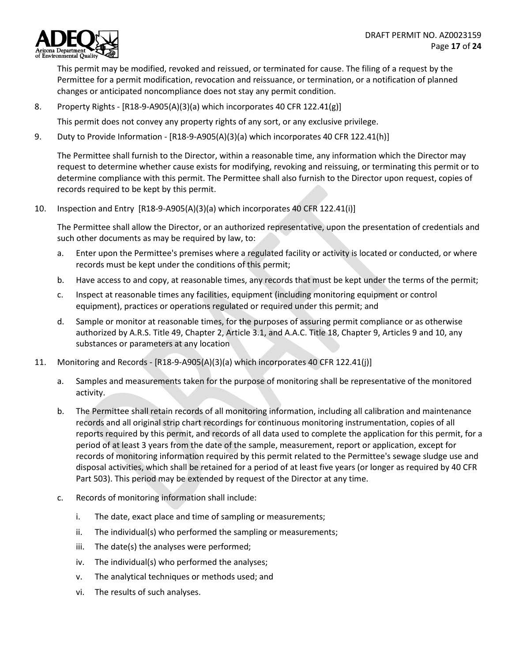

This permit may be modified, revoked and reissued, or terminated for cause. The filing of a request by the Permittee for a permit modification, revocation and reissuance, or termination, or a notification of planned changes or anticipated noncompliance does not stay any permit condition.

8. Property Rights - [R18-9-A905(A)(3)(a) which incorporates 40 CFR 122.41(g)]

This permit does not convey any property rights of any sort, or any exclusive privilege.

9. Duty to Provide Information - [R18-9-A905(A)(3)(a) which incorporates 40 CFR 122.41(h)]

The Permittee shall furnish to the Director, within a reasonable time, any information which the Director may request to determine whether cause exists for modifying, revoking and reissuing, or terminating this permit or to determine compliance with this permit. The Permittee shall also furnish to the Director upon request, copies of records required to be kept by this permit.

10. Inspection and Entry [R18-9-A905(A)(3)(a) which incorporates 40 CFR 122.41(i)]

The Permittee shall allow the Director, or an authorized representative, upon the presentation of credentials and such other documents as may be required by law, to:

- a. Enter upon the Permittee's premises where a regulated facility or activity is located or conducted, or where records must be kept under the conditions of this permit;
- b. Have access to and copy, at reasonable times, any records that must be kept under the terms of the permit;
- c. Inspect at reasonable times any facilities, equipment (including monitoring equipment or control equipment), practices or operations regulated or required under this permit; and
- d. Sample or monitor at reasonable times, for the purposes of assuring permit compliance or as otherwise authorized by A.R.S. Title 49, Chapter 2, Article 3.1, and A.A.C. Title 18, Chapter 9, Articles 9 and 10, any substances or parameters at any location
- 11. Monitoring and Records [R18-9-A905(A)(3)(a) which incorporates 40 CFR 122.41(j)]
	- a. Samples and measurements taken for the purpose of monitoring shall be representative of the monitored activity.
	- b. The Permittee shall retain records of all monitoring information, including all calibration and maintenance records and all original strip chart recordings for continuous monitoring instrumentation, copies of all reports required by this permit, and records of all data used to complete the application for this permit, for a period of at least 3 years from the date of the sample, measurement, report or application, except for records of monitoring information required by this permit related to the Permittee's sewage sludge use and disposal activities, which shall be retained for a period of at least five years (or longer as required by 40 CFR Part 503). This period may be extended by request of the Director at any time.
	- c. Records of monitoring information shall include:
		- i. The date, exact place and time of sampling or measurements;
		- ii. The individual(s) who performed the sampling or measurements;
		- iii. The date(s) the analyses were performed;
		- iv. The individual(s) who performed the analyses;
		- v. The analytical techniques or methods used; and
		- vi. The results of such analyses.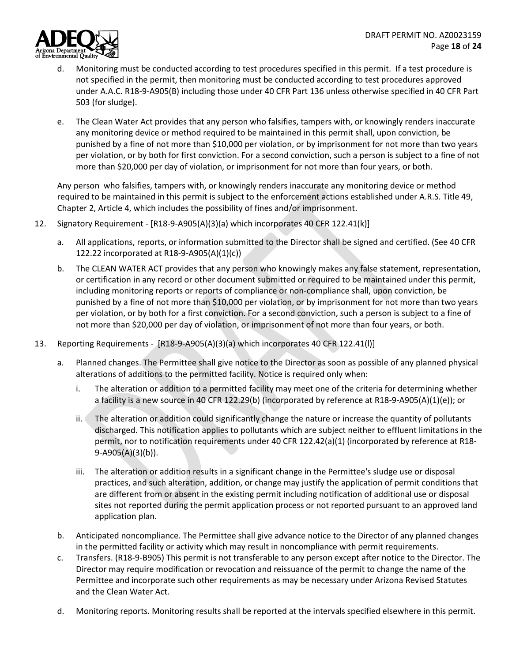

- d. Monitoring must be conducted according to test procedures specified in this permit. If a test procedure is not specified in the permit, then monitoring must be conducted according to test procedures approved under A.A.C. R18-9-A905(B) including those under 40 CFR Part 136 unless otherwise specified in 40 CFR Part 503 (for sludge).
- e. The Clean Water Act provides that any person who falsifies, tampers with, or knowingly renders inaccurate any monitoring device or method required to be maintained in this permit shall, upon conviction, be punished by a fine of not more than \$10,000 per violation, or by imprisonment for not more than two years per violation, or by both for first conviction. For a second conviction, such a person is subject to a fine of not more than \$20,000 per day of violation, or imprisonment for not more than four years, or both.

Any person who falsifies, tampers with, or knowingly renders inaccurate any monitoring device or method required to be maintained in this permit is subject to the enforcement actions established under A.R.S. Title 49, Chapter 2, Article 4, which includes the possibility of fines and/or imprisonment.

- 12. Signatory Requirement [R18-9-A905(A)(3)(a) which incorporates 40 CFR 122.41(k)]
	- a. All applications, reports, or information submitted to the Director shall be signed and certified. (See 40 CFR 122.22 incorporated at R18-9-A905(A)(1)(c))
	- b. The CLEAN WATER ACT provides that any person who knowingly makes any false statement, representation, or certification in any record or other document submitted or required to be maintained under this permit, including monitoring reports or reports of compliance or non-compliance shall, upon conviction, be punished by a fine of not more than \$10,000 per violation, or by imprisonment for not more than two years per violation, or by both for a first conviction. For a second conviction, such a person is subject to a fine of not more than \$20,000 per day of violation, or imprisonment of not more than four years, or both.
- 13. Reporting Requirements [R18-9-A905(A)(3)(a) which incorporates 40 CFR 122.41(l)]
	- a. Planned changes. The Permittee shall give notice to the Director as soon as possible of any planned physical alterations of additions to the permitted facility. Notice is required only when:
		- i. The alteration or addition to a permitted facility may meet one of the criteria for determining whether a facility is a new source in 40 CFR 122.29(b) (incorporated by reference at R18-9-A905(A)(1)(e)); or
		- ii. The alteration or addition could significantly change the nature or increase the quantity of pollutants discharged. This notification applies to pollutants which are subject neither to effluent limitations in the permit, nor to notification requirements under 40 CFR 122.42(a)(1) (incorporated by reference at R18- 9-A905(A)(3)(b)).
		- iii. The alteration or addition results in a significant change in the Permittee's sludge use or disposal practices, and such alteration, addition, or change may justify the application of permit conditions that are different from or absent in the existing permit including notification of additional use or disposal sites not reported during the permit application process or not reported pursuant to an approved land application plan.
	- b. Anticipated noncompliance. The Permittee shall give advance notice to the Director of any planned changes in the permitted facility or activity which may result in noncompliance with permit requirements.
	- c. Transfers. (R18-9-B905) This permit is not transferable to any person except after notice to the Director. The Director may require modification or revocation and reissuance of the permit to change the name of the Permittee and incorporate such other requirements as may be necessary under Arizona Revised Statutes and the Clean Water Act.
	- d. Monitoring reports. Monitoring results shall be reported at the intervals specified elsewhere in this permit.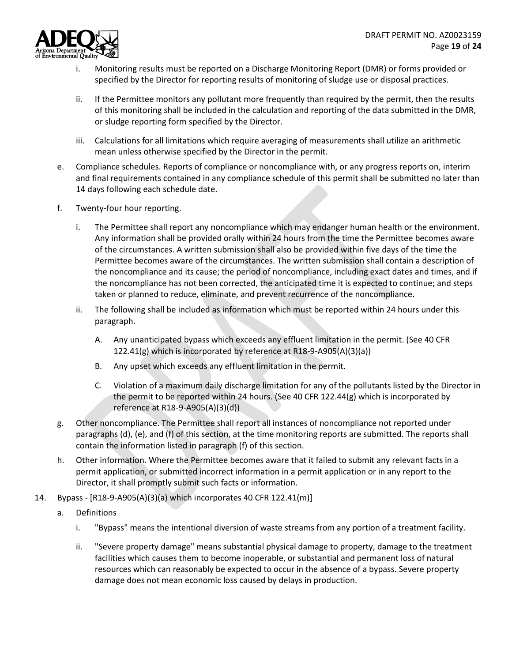

- i. Monitoring results must be reported on a Discharge Monitoring Report (DMR) or forms provided or specified by the Director for reporting results of monitoring of sludge use or disposal practices.
- ii. If the Permittee monitors any pollutant more frequently than required by the permit, then the results of this monitoring shall be included in the calculation and reporting of the data submitted in the DMR, or sludge reporting form specified by the Director.
- iii. Calculations for all limitations which require averaging of measurements shall utilize an arithmetic mean unless otherwise specified by the Director in the permit.
- e. Compliance schedules. Reports of compliance or noncompliance with, or any progress reports on, interim and final requirements contained in any compliance schedule of this permit shall be submitted no later than 14 days following each schedule date.
- f. Twenty-four hour reporting.
	- i. The Permittee shall report any noncompliance which may endanger human health or the environment. Any information shall be provided orally within 24 hours from the time the Permittee becomes aware of the circumstances. A written submission shall also be provided within five days of the time the Permittee becomes aware of the circumstances. The written submission shall contain a description of the noncompliance and its cause; the period of noncompliance, including exact dates and times, and if the noncompliance has not been corrected, the anticipated time it is expected to continue; and steps taken or planned to reduce, eliminate, and prevent recurrence of the noncompliance.
	- ii. The following shall be included as information which must be reported within 24 hours under this paragraph.
		- A. Any unanticipated bypass which exceeds any effluent limitation in the permit. (See 40 CFR 122.41(g) which is incorporated by reference at R18-9-A905(A)(3)(a))
		- B. Any upset which exceeds any effluent limitation in the permit.
		- C. Violation of a maximum daily discharge limitation for any of the pollutants listed by the Director in the permit to be reported within 24 hours. (See 40 CFR 122.44(g) which is incorporated by reference at R18-9-A905(A)(3)(d))
- g. Other noncompliance. The Permittee shall report all instances of noncompliance not reported under paragraphs (d), (e), and (f) of this section, at the time monitoring reports are submitted. The reports shall contain the information listed in paragraph (f) of this section.
- h. Other information. Where the Permittee becomes aware that it failed to submit any relevant facts in a permit application, or submitted incorrect information in a permit application or in any report to the Director, it shall promptly submit such facts or information.
- 14. Bypass [R18-9-A905(A)(3)(a) which incorporates 40 CFR 122.41(m)]
	- a. Definitions
		- i. "Bypass" means the intentional diversion of waste streams from any portion of a treatment facility.
		- ii. "Severe property damage" means substantial physical damage to property, damage to the treatment facilities which causes them to become inoperable, or substantial and permanent loss of natural resources which can reasonably be expected to occur in the absence of a bypass. Severe property damage does not mean economic loss caused by delays in production.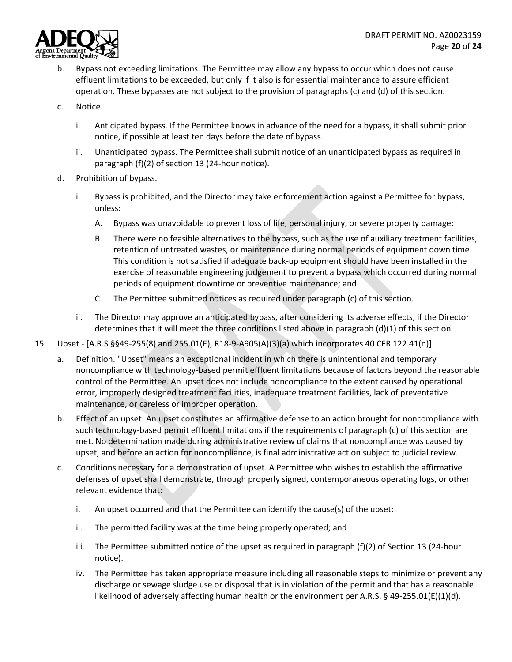

- b. Bypass not exceeding limitations. The Permittee may allow any bypass to occur which does not cause effluent limitations to be exceeded, but only if it also is for essential maintenance to assure efficient operation. These bypasses are not subject to the provision of paragraphs (c) and (d) of this section.
- c. Notice.
	- i. Anticipated bypass. If the Permittee knows in advance of the need for a bypass, it shall submit prior notice, if possible at least ten days before the date of bypass.
	- ii. Unanticipated bypass. The Permittee shall submit notice of an unanticipated bypass as required in paragraph (f)(2) of section 13 (24-hour notice).
- d. Prohibition of bypass.
	- i. Bypass is prohibited, and the Director may take enforcement action against a Permittee for bypass, unless:
		- A. Bypass was unavoidable to prevent loss of life, personal injury, or severe property damage;
		- B. There were no feasible alternatives to the bypass, such as the use of auxiliary treatment facilities, retention of untreated wastes, or maintenance during normal periods of equipment down time. This condition is not satisfied if adequate back-up equipment should have been installed in the exercise of reasonable engineering judgement to prevent a bypass which occurred during normal periods of equipment downtime or preventive maintenance; and
		- C. The Permittee submitted notices as required under paragraph (c) of this section.
	- ii. The Director may approve an anticipated bypass, after considering its adverse effects, if the Director determines that it will meet the three conditions listed above in paragraph (d)(1) of this section.
- 15. Upset [A.R.S.§§49-255(8) and 255.01(E), R18-9-A905(A)(3)(a) which incorporates 40 CFR 122.41(n)]
	- a. Definition. "Upset" means an exceptional incident in which there is unintentional and temporary noncompliance with technology-based permit effluent limitations because of factors beyond the reasonable control of the Permittee. An upset does not include noncompliance to the extent caused by operational error, improperly designed treatment facilities, inadequate treatment facilities, lack of preventative maintenance, or careless or improper operation.
	- b. Effect of an upset. An upset constitutes an affirmative defense to an action brought for noncompliance with such technology-based permit effluent limitations if the requirements of paragraph (c) of this section are met. No determination made during administrative review of claims that noncompliance was caused by upset, and before an action for noncompliance, is final administrative action subject to judicial review.
	- c. Conditions necessary for a demonstration of upset. A Permittee who wishes to establish the affirmative defenses of upset shall demonstrate, through properly signed, contemporaneous operating logs, or other relevant evidence that:
		- i. An upset occurred and that the Permittee can identify the cause(s) of the upset;
		- ii. The permitted facility was at the time being properly operated; and
		- iii. The Permittee submitted notice of the upset as required in paragraph (f)(2) of Section 13 (24-hour notice).
		- iv. The Permittee has taken appropriate measure including all reasonable steps to minimize or prevent any discharge or sewage sludge use or disposal that is in violation of the permit and that has a reasonable likelihood of adversely affecting human health or the environment per A.R.S. § 49-255.01(E)(1)(d).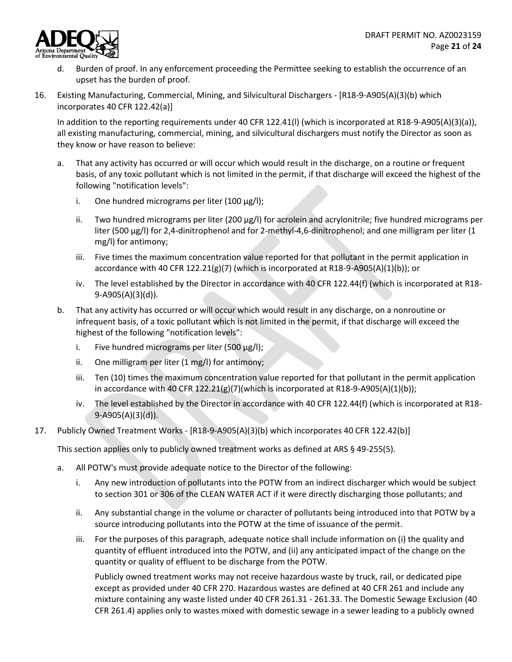

- d. Burden of proof. In any enforcement proceeding the Permittee seeking to establish the occurrence of an upset has the burden of proof.
- 16. Existing Manufacturing, Commercial, Mining, and Silvicultural Dischargers [R18-9-A905(A)(3)(b) which incorporates 40 CFR 122.42(a)]

In addition to the reporting requirements under 40 CFR 122.41(l) (which is incorporated at R18-9-A905(A)(3)(a)), all existing manufacturing, commercial, mining, and silvicultural dischargers must notify the Director as soon as they know or have reason to believe:

- a. That any activity has occurred or will occur which would result in the discharge, on a routine or frequent basis, of any toxic pollutant which is not limited in the permit, if that discharge will exceed the highest of the following "notification levels":
	- i. One hundred micrograms per liter  $(100 \mu g/l)$ ;
	- ii. Two hundred micrograms per liter (200 μg/l) for acrolein and acrylonitrile; five hundred micrograms per liter (500 μg/l) for 2,4-dinitrophenol and for 2-methyl-4,6-dinitrophenol; and one milligram per liter (1 mg/l) for antimony;
	- iii. Five times the maximum concentration value reported for that pollutant in the permit application in accordance with 40 CFR  $122.21(g)(7)$  (which is incorporated at R18-9-A905(A)(1)(b)); or
	- iv. The level established by the Director in accordance with 40 CFR 122.44(f) (which is incorporated at R18- 9-A905(A)(3)(d)).
- b. That any activity has occurred or will occur which would result in any discharge, on a nonroutine or infrequent basis, of a toxic pollutant which is not limited in the permit, if that discharge will exceed the highest of the following "notification levels":
	- i. Five hundred micrograms per liter (500  $\mu$ g/l);
	- ii. One milligram per liter (1 mg/l) for antimony;
	- iii. Ten (10) times the maximum concentration value reported for that pollutant in the permit application in accordance with 40 CFR  $122.21(g)(7)($  which is incorporated at R18-9-A905(A)(1)(b));
	- iv. The level established by the Director in accordance with 40 CFR 122.44(f) (which is incorporated at R18- 9-A905(A)(3)(d)).
- 17. Publicly Owned Treatment Works [R18-9-A905(A)(3)(b) which incorporates 40 CFR 122.42(b)]

This section applies only to publicly owned treatment works as defined at ARS § 49-255(5).

- a. All POTW's must provide adequate notice to the Director of the following:
	- i. Any new introduction of pollutants into the POTW from an indirect discharger which would be subject to section 301 or 306 of the CLEAN WATER ACT if it were directly discharging those pollutants; and
	- ii. Any substantial change in the volume or character of pollutants being introduced into that POTW by a source introducing pollutants into the POTW at the time of issuance of the permit.
	- iii. For the purposes of this paragraph, adequate notice shall include information on (i) the quality and quantity of effluent introduced into the POTW, and (ii) any anticipated impact of the change on the quantity or quality of effluent to be discharge from the POTW.

Publicly owned treatment works may not receive hazardous waste by truck, rail, or dedicated pipe except as provided under 40 CFR 270. Hazardous wastes are defined at 40 CFR 261 and include any mixture containing any waste listed under 40 CFR 261.31 - 261.33. The Domestic Sewage Exclusion (40 CFR 261.4) applies only to wastes mixed with domestic sewage in a sewer leading to a publicly owned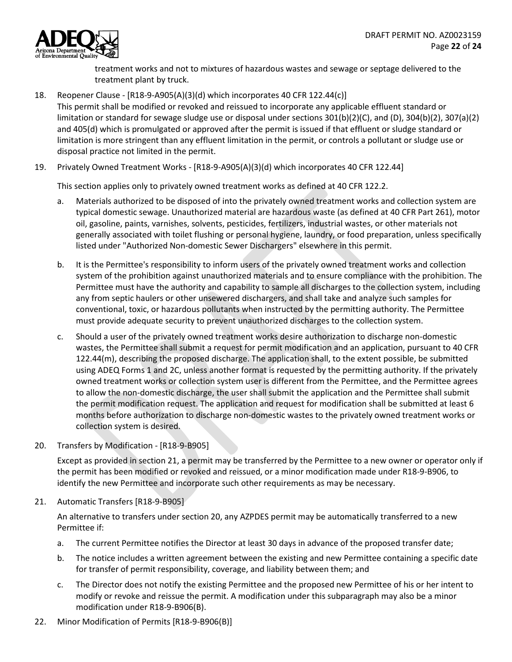

treatment works and not to mixtures of hazardous wastes and sewage or septage delivered to the treatment plant by truck.

18. Reopener Clause - [R18-9-A905(A)(3)(d) which incorporates 40 CFR 122.44(c)] This permit shall be modified or revoked and reissued to incorporate any applicable effluent standard or limitation or standard for sewage sludge use or disposal under sections 301(b)(2)(C), and (D), 304(b)(2), 307(a)(2) and 405(d) which is promulgated or approved after the permit is issued if that effluent or sludge standard or limitation is more stringent than any effluent limitation in the permit, or controls a pollutant or sludge use or disposal practice not limited in the permit.

19. Privately Owned Treatment Works - [R18-9-A905(A)(3)(d) which incorporates 40 CFR 122.44]

This section applies only to privately owned treatment works as defined at 40 CFR 122.2.

- a. Materials authorized to be disposed of into the privately owned treatment works and collection system are typical domestic sewage. Unauthorized material are hazardous waste (as defined at 40 CFR Part 261), motor oil, gasoline, paints, varnishes, solvents, pesticides, fertilizers, industrial wastes, or other materials not generally associated with toilet flushing or personal hygiene, laundry, or food preparation, unless specifically listed under "Authorized Non-domestic Sewer Dischargers" elsewhere in this permit.
- b. It is the Permittee's responsibility to inform users of the privately owned treatment works and collection system of the prohibition against unauthorized materials and to ensure compliance with the prohibition. The Permittee must have the authority and capability to sample all discharges to the collection system, including any from septic haulers or other unsewered dischargers, and shall take and analyze such samples for conventional, toxic, or hazardous pollutants when instructed by the permitting authority. The Permittee must provide adequate security to prevent unauthorized discharges to the collection system.
- c. Should a user of the privately owned treatment works desire authorization to discharge non-domestic wastes, the Permittee shall submit a request for permit modification and an application, pursuant to 40 CFR 122.44(m), describing the proposed discharge. The application shall, to the extent possible, be submitted using ADEQ Forms 1 and 2C, unless another format is requested by the permitting authority. If the privately owned treatment works or collection system user is different from the Permittee, and the Permittee agrees to allow the non-domestic discharge, the user shall submit the application and the Permittee shall submit the permit modification request. The application and request for modification shall be submitted at least 6 months before authorization to discharge non-domestic wastes to the privately owned treatment works or collection system is desired.
- 20. Transfers by Modification [R18-9-B905]

Except as provided in section 21, a permit may be transferred by the Permittee to a new owner or operator only if the permit has been modified or revoked and reissued, or a minor modification made under R18-9-B906, to identify the new Permittee and incorporate such other requirements as may be necessary.

21. Automatic Transfers [R18-9-B905]

An alternative to transfers under section 20, any AZPDES permit may be automatically transferred to a new Permittee if:

- a. The current Permittee notifies the Director at least 30 days in advance of the proposed transfer date;
- b. The notice includes a written agreement between the existing and new Permittee containing a specific date for transfer of permit responsibility, coverage, and liability between them; and
- c. The Director does not notify the existing Permittee and the proposed new Permittee of his or her intent to modify or revoke and reissue the permit. A modification under this subparagraph may also be a minor modification under R18-9-B906(B).
- 22. Minor Modification of Permits [R18-9-B906(B)]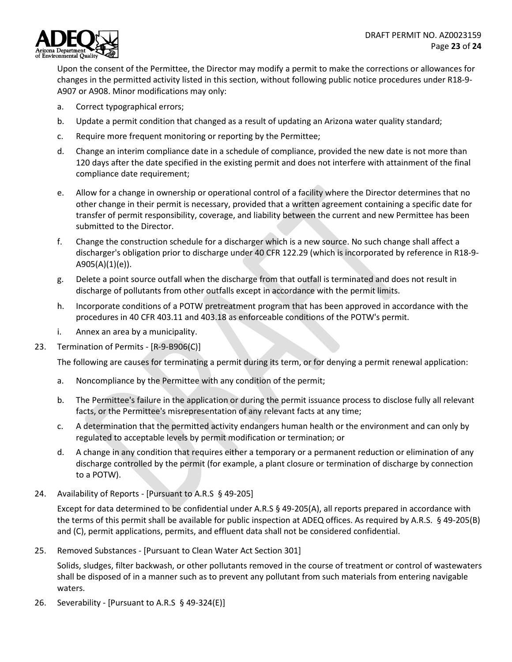

Upon the consent of the Permittee, the Director may modify a permit to make the corrections or allowances for changes in the permitted activity listed in this section, without following public notice procedures under R18-9- A907 or A908. Minor modifications may only:

- a. Correct typographical errors;
- b. Update a permit condition that changed as a result of updating an Arizona water quality standard;
- c. Require more frequent monitoring or reporting by the Permittee;
- d. Change an interim compliance date in a schedule of compliance, provided the new date is not more than 120 days after the date specified in the existing permit and does not interfere with attainment of the final compliance date requirement;
- e. Allow for a change in ownership or operational control of a facility where the Director determines that no other change in their permit is necessary, provided that a written agreement containing a specific date for transfer of permit responsibility, coverage, and liability between the current and new Permittee has been submitted to the Director.
- f. Change the construction schedule for a discharger which is a new source. No such change shall affect a discharger's obligation prior to discharge under 40 CFR 122.29 (which is incorporated by reference in R18-9- A905(A)(1)(e)).
- g. Delete a point source outfall when the discharge from that outfall is terminated and does not result in discharge of pollutants from other outfalls except in accordance with the permit limits.
- h. Incorporate conditions of a POTW pretreatment program that has been approved in accordance with the procedures in 40 CFR 403.11 and 403.18 as enforceable conditions of the POTW's permit.
- i. Annex an area by a municipality.
- 23. Termination of Permits [R-9-B906(C)]

The following are causes for terminating a permit during its term, or for denying a permit renewal application:

- a. Noncompliance by the Permittee with any condition of the permit;
- b. The Permittee's failure in the application or during the permit issuance process to disclose fully all relevant facts, or the Permittee's misrepresentation of any relevant facts at any time;
- c. A determination that the permitted activity endangers human health or the environment and can only by regulated to acceptable levels by permit modification or termination; or
- d. A change in any condition that requires either a temporary or a permanent reduction or elimination of any discharge controlled by the permit (for example, a plant closure or termination of discharge by connection to a POTW).
- 24. Availability of Reports [Pursuant to A.R.S § 49-205]

Except for data determined to be confidential under A.R.S § 49-205(A), all reports prepared in accordance with the terms of this permit shall be available for public inspection at ADEQ offices. As required by A.R.S. § 49-205(B) and (C), permit applications, permits, and effluent data shall not be considered confidential.

25. Removed Substances - [Pursuant to Clean Water Act Section 301]

Solids, sludges, filter backwash, or other pollutants removed in the course of treatment or control of wastewaters shall be disposed of in a manner such as to prevent any pollutant from such materials from entering navigable waters.

26. Severability - [Pursuant to A.R.S § 49-324(E)]